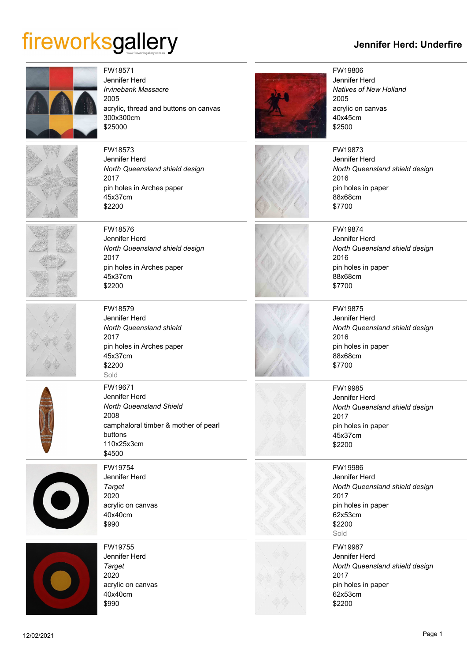## fireworksgallery

## **Jennifer Herd: Underfire**





FW19806 Jennifer Herd *Natives of New Holland* 2005 acrylic on canvas 40x45cm \$2500

FW19873 Jennifer Herd

pin holes in paper

2016

88x68cm \$7700





FW19874 Jennifer Herd *North Queensland shield design* 2016 pin holes in paper 88x68cm \$7700

*North Queensland shield design*



FW19875 Jennifer Herd *North Queensland shield design* 2016 pin holes in paper 88x68cm \$7700





FW19986 Jennifer Herd *North Queensland shield design* 2017 pin holes in paper 62x53cm \$2200 Sold

FW19987 Jennifer Herd *North Queensland shield design* 2017 pin holes in paper 62x53cm \$2200